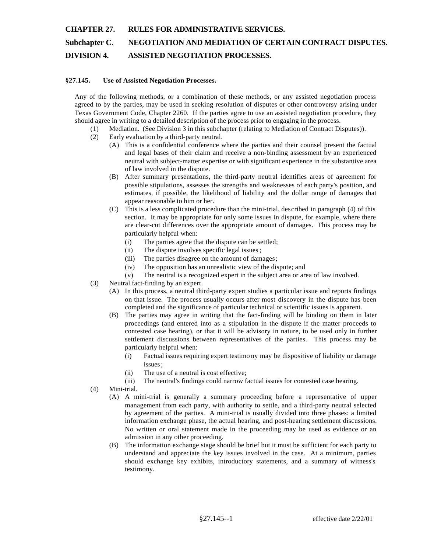#### **CHAPTER 27. RULES FOR ADMINISTRATIVE SERVICES.**

## **Subchapter C. NEGOTIATION AND MEDIATION OF CERTAIN CONTRACT DISPUTES. DIVISION 4. ASSISTED NEGOTIATION PROCESSES.**

# **§27.145. Use of Assisted Negotiation Processes.**

Any of the following methods, or a combination of these methods, or any assisted negotiation process agreed to by the parties, may be used in seeking resolution of disputes or other controversy arising under Texas Government Code, Chapter 2260. If the parties agree to use an assisted negotiation procedure, they should agree in writing to a detailed description of the process prior to engaging in the process.

- (1) Mediation. (See Division 3 in this subchapter (relating to Mediation of Contract Disputes)).
- (2) Early evaluation by a third-party neutral.
	- (A) This is a confidential conference where the parties and their counsel present the factual and legal bases of their claim and receive a non-binding assessment by an experienced neutral with subject-matter expertise or with significant experience in the substantive area of law involved in the dispute.
	- (B) After summary presentations, the third-party neutral identifies areas of agreement for possible stipulations, assesses the strengths and weaknesses of each party's position, and estimates, if possible, the likelihood of liability and the dollar range of damages that appear reasonable to him or her.
	- (C) This is a less complicated procedure than the mini-trial, described in paragraph (4) of this section. It may be appropriate for only some issues in dispute, for example, where there are clear-cut differences over the appropriate amount of damages. This process may be particularly helpful when:
		- (i) The parties agree that the dispute can be settled;
		- (ii) The dispute involves specific legal issues;
		- (iii) The parties disagree on the amount of damages;
		- (iv) The opposition has an unrealistic view of the dispute; and
		- (v) The neutral is a recognized expert in the subject area or area of law involved.
- (3) Neutral fact-finding by an expert.
	- (A) In this process, a neutral third-party expert studies a particular issue and reports findings on that issue. The process usually occurs after most discovery in the dispute has been completed and the significance of particular technical or scientific issues is apparent.
	- (B) The parties may agree in writing that the fact-finding will be binding on them in later proceedings (and entered into as a stipulation in the dispute if the matter proceeds to contested case hearing), or that it will be advisory in nature, to be used only in further settlement discussions between representatives of the parties. This process may be particularly helpful when:
		- (i) Factual issues requiring expert testimo ny may be dispositive of liability or damage issues ;
		- (ii) The use of a neutral is cost effective;
		- (iii) The neutral's findings could narrow factual issues for contested case hearing.
- (4) Mini-trial.
	- (A) A mini-trial is generally a summary proceeding before a representative of upper management from each party, with authority to settle, and a third-party neutral selected by agreement of the parties. A mini-trial is usually divided into three phases: a limited information exchange phase, the actual hearing, and post-hearing settlement discussions. No written or oral statement made in the proceeding may be used as evidence or an admission in any other proceeding.
	- (B) The information exchange stage should be brief but it must be sufficient for each party to understand and appreciate the key issues involved in the case. At a minimum, parties should exchange key exhibits, introductory statements, and a summary of witness's testimony.